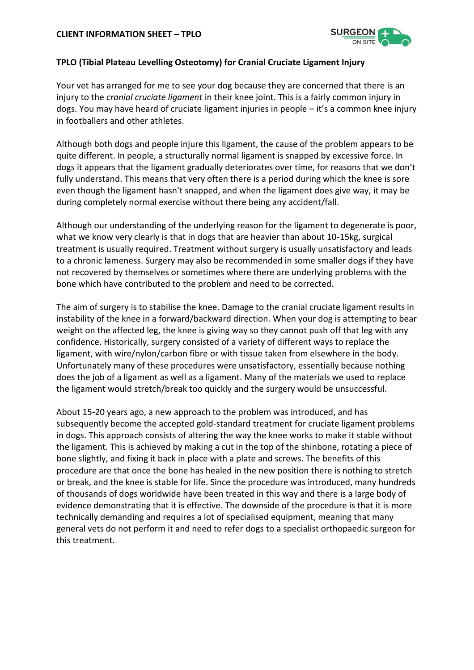

## **TPLO (Tibial Plateau Levelling Osteotomy) for Cranial Cruciate Ligament Injury**

Your vet has arranged for me to see your dog because they are concerned that there is an injury to the *cranial cruciate ligament* in their knee joint. This is a fairly common injury in dogs. You may have heard of cruciate ligament injuries in people – it's a common knee injury in footballers and other athletes.

Although both dogs and people injure this ligament, the cause of the problem appears to be quite different. In people, a structurally normal ligament is snapped by excessive force. In dogs it appears that the ligament gradually deteriorates over time, for reasons that we don't fully understand. This means that very often there is a period during which the knee is sore even though the ligament hasn't snapped, and when the ligament does give way, it may be during completely normal exercise without there being any accident/fall.

Although our understanding of the underlying reason for the ligament to degenerate is poor, what we know very clearly is that in dogs that are heavier than about 10-15kg, surgical treatment is usually required. Treatment without surgery is usually unsatisfactory and leads to a chronic lameness. Surgery may also be recommended in some smaller dogs if they have not recovered by themselves or sometimes where there are underlying problems with the bone which have contributed to the problem and need to be corrected.

The aim of surgery is to stabilise the knee. Damage to the cranial cruciate ligament results in instability of the knee in a forward/backward direction. When your dog is attempting to bear weight on the affected leg, the knee is giving way so they cannot push off that leg with any confidence. Historically, surgery consisted of a variety of different ways to replace the ligament, with wire/nylon/carbon fibre or with tissue taken from elsewhere in the body. Unfortunately many of these procedures were unsatisfactory, essentially because nothing does the job of a ligament as well as a ligament. Many of the materials we used to replace the ligament would stretch/break too quickly and the surgery would be unsuccessful.

About 15-20 years ago, a new approach to the problem was introduced, and has subsequently become the accepted gold-standard treatment for cruciate ligament problems in dogs. This approach consists of altering the way the knee works to make it stable without the ligament. This is achieved by making a cut in the top of the shinbone, rotating a piece of bone slightly, and fixing it back in place with a plate and screws. The benefits of this procedure are that once the bone has healed in the new position there is nothing to stretch or break, and the knee is stable for life. Since the procedure was introduced, many hundreds of thousands of dogs worldwide have been treated in this way and there is a large body of evidence demonstrating that it is effective. The downside of the procedure is that it is more technically demanding and requires a lot of specialised equipment, meaning that many general vets do not perform it and need to refer dogs to a specialist orthopaedic surgeon for this treatment.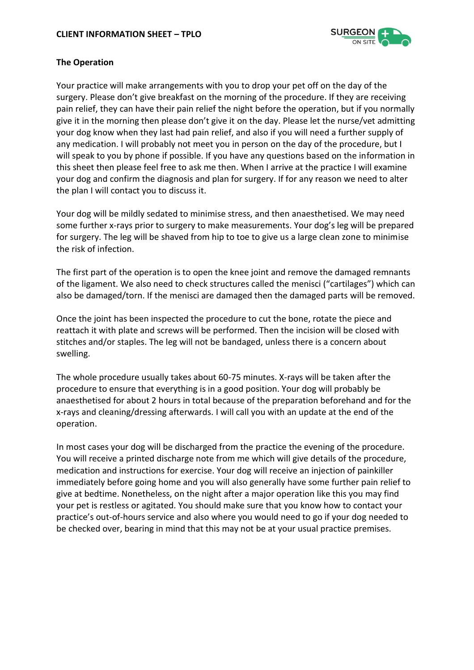

## **The Operation**

Your practice will make arrangements with you to drop your pet off on the day of the surgery. Please don't give breakfast on the morning of the procedure. If they are receiving pain relief, they can have their pain relief the night before the operation, but if you normally give it in the morning then please don't give it on the day. Please let the nurse/vet admitting your dog know when they last had pain relief, and also if you will need a further supply of any medication. I will probably not meet you in person on the day of the procedure, but I will speak to you by phone if possible. If you have any questions based on the information in this sheet then please feel free to ask me then. When I arrive at the practice I will examine your dog and confirm the diagnosis and plan for surgery. If for any reason we need to alter the plan I will contact you to discuss it.

Your dog will be mildly sedated to minimise stress, and then anaesthetised. We may need some further x-rays prior to surgery to make measurements. Your dog's leg will be prepared for surgery. The leg will be shaved from hip to toe to give us a large clean zone to minimise the risk of infection.

The first part of the operation is to open the knee joint and remove the damaged remnants of the ligament. We also need to check structures called the menisci ("cartilages") which can also be damaged/torn. If the menisci are damaged then the damaged parts will be removed.

Once the joint has been inspected the procedure to cut the bone, rotate the piece and reattach it with plate and screws will be performed. Then the incision will be closed with stitches and/or staples. The leg will not be bandaged, unless there is a concern about swelling.

The whole procedure usually takes about 60-75 minutes. X-rays will be taken after the procedure to ensure that everything is in a good position. Your dog will probably be anaesthetised for about 2 hours in total because of the preparation beforehand and for the x-rays and cleaning/dressing afterwards. I will call you with an update at the end of the operation.

In most cases your dog will be discharged from the practice the evening of the procedure. You will receive a printed discharge note from me which will give details of the procedure, medication and instructions for exercise. Your dog will receive an injection of painkiller immediately before going home and you will also generally have some further pain relief to give at bedtime. Nonetheless, on the night after a major operation like this you may find your pet is restless or agitated. You should make sure that you know how to contact your practice's out-of-hours service and also where you would need to go if your dog needed to be checked over, bearing in mind that this may not be at your usual practice premises.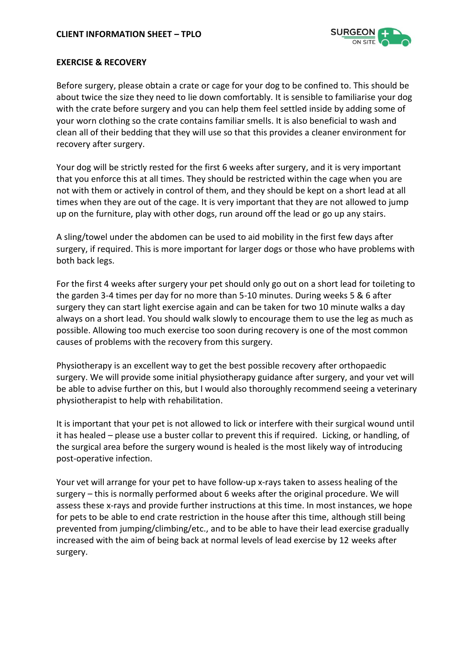

#### **EXERCISE & RECOVERY**

Before surgery, please obtain a crate or cage for your dog to be confined to. This should be about twice the size they need to lie down comfortably. It is sensible to familiarise your dog with the crate before surgery and you can help them feel settled inside by adding some of your worn clothing so the crate contains familiar smells. It is also beneficial to wash and clean all of their bedding that they will use so that this provides a cleaner environment for recovery after surgery.

Your dog will be strictly rested for the first 6 weeks after surgery, and it is very important that you enforce this at all times. They should be restricted within the cage when you are not with them or actively in control of them, and they should be kept on a short lead at all times when they are out of the cage. It is very important that they are not allowed to jump up on the furniture, play with other dogs, run around off the lead or go up any stairs.

A sling/towel under the abdomen can be used to aid mobility in the first few days after surgery, if required. This is more important for larger dogs or those who have problems with both back legs.

For the first 4 weeks after surgery your pet should only go out on a short lead for toileting to the garden 3-4 times per day for no more than 5-10 minutes. During weeks 5 & 6 after surgery they can start light exercise again and can be taken for two 10 minute walks a day always on a short lead. You should walk slowly to encourage them to use the leg as much as possible. Allowing too much exercise too soon during recovery is one of the most common causes of problems with the recovery from this surgery.

Physiotherapy is an excellent way to get the best possible recovery after orthopaedic surgery. We will provide some initial physiotherapy guidance after surgery, and your vet will be able to advise further on this, but I would also thoroughly recommend seeing a veterinary physiotherapist to help with rehabilitation.

It is important that your pet is not allowed to lick or interfere with their surgical wound until it has healed – please use a buster collar to prevent this if required. Licking, or handling, of the surgical area before the surgery wound is healed is the most likely way of introducing post-operative infection.

Your vet will arrange for your pet to have follow-up x-rays taken to assess healing of the surgery – this is normally performed about 6 weeks after the original procedure. We will assess these x-rays and provide further instructions at this time. In most instances, we hope for pets to be able to end crate restriction in the house after this time, although still being prevented from jumping/climbing/etc., and to be able to have their lead exercise gradually increased with the aim of being back at normal levels of lead exercise by 12 weeks after surgery.